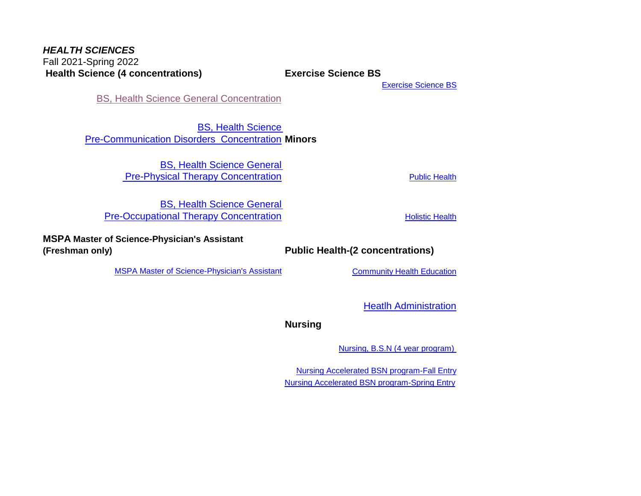## *HEALTH SCIENCES X0AT*Fall 2021-Spring 2022  **Health Science (4 concentrations) Exercise Science BS**

[Exercise Science BS](#page-6-0)

**[BS, Health Science General Concentration](#page-3-0)** 

BS, Health Science [Pre-Communication Disorders Concentration](#page-5-0) **Minors**

> BS, Health Science General **Pre-Physical Therapy Concentration Pre-Physical Therapy Concentration**

BS, Health Science General [Pre-Occupational Therapy Concentration](#page-2-0) **[Holistic Health](#page-13-0)** Holistic Health

**MSPA Master of Science-Physician's Assistant** 

**(Freshman only) Public Health-(2 concentrations)**

[MSPA Master of Science-Physician's Assistant](#page-8-0) [Community Health Education](#page-12-0)

[Heatlh Administration](#page-11-0)

**Nursing** 

[Nursing, B.S.N \(4 year program\)](#page-1-0) 

[Nursing Accelerated BSN program-Fall Entry](#page-9-0) [Nursing Accelerated BSN program-Spring Entry](#page-10-0)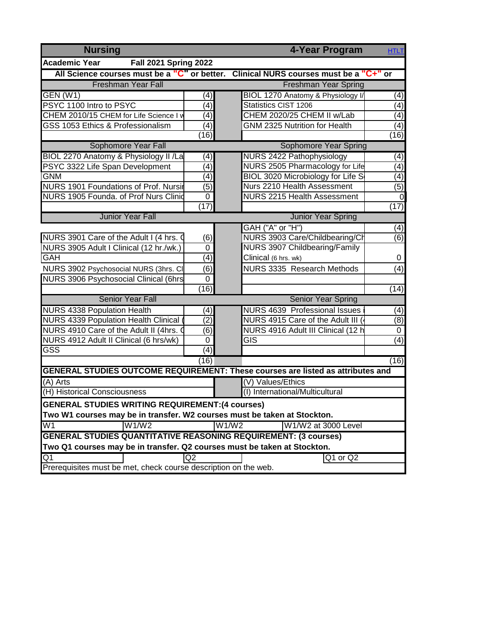<span id="page-1-0"></span>

| <b>Nursing</b>                                                           | 4-Year Program<br><b>HTLT</b> |                                                                                      |                  |  |  |  |
|--------------------------------------------------------------------------|-------------------------------|--------------------------------------------------------------------------------------|------------------|--|--|--|
| <b>Academic Year</b><br>Fall 2021 Spring 2022                            |                               |                                                                                      |                  |  |  |  |
|                                                                          |                               | All Science courses must be a "C" or better. Clinical NURS courses must be a "C+" or |                  |  |  |  |
| Freshman Year Fall                                                       |                               | <b>Freshman Year Spring</b>                                                          |                  |  |  |  |
| GEN (W1)                                                                 | (4)                           | BIOL 1270 Anatomy & Physiology I/                                                    | (4)              |  |  |  |
| PSYC 1100 Intro to PSYC                                                  | (4)                           | Statistics CIST 1206                                                                 | $\overline{(4)}$ |  |  |  |
| CHEM 2010/15 CHEM for Life Science I v                                   | (4)                           | CHEM 2020/25 CHEM II w/Lab                                                           | (4)              |  |  |  |
| GSS 1053 Ethics & Professionalism                                        | (4)                           | <b>GNM 2325 Nutrition for Health</b>                                                 | $\overline{(4)}$ |  |  |  |
|                                                                          | (16)                          |                                                                                      | (16)             |  |  |  |
| Sophomore Year Fall                                                      |                               | <b>Sophomore Year Spring</b>                                                         |                  |  |  |  |
| BIOL 2270 Anatomy & Physiology II /La                                    | (4)                           | <b>NURS 2422 Pathophysiology</b>                                                     | (4)              |  |  |  |
| PSYC 3322 Life Span Development                                          | (4)                           | NURS 2505 Pharmacology for Life                                                      | (4)              |  |  |  |
| <b>GNM</b>                                                               | (4)                           | BIOL 3020 Microbiology for Life S                                                    | (4)              |  |  |  |
| NURS 1901 Foundations of Prof. Nursir                                    | (5)                           | Nurs 2210 Health Assessment                                                          | $\overline{(5)}$ |  |  |  |
| NURS 1905 Founda. of Prof Nurs Clinid                                    | 0                             | <b>NURS 2215 Health Assessment</b>                                                   | $\mathbf 0$      |  |  |  |
|                                                                          | (17)                          |                                                                                      | (17)             |  |  |  |
| <b>Junior Year Fall</b>                                                  |                               | <b>Junior Year Spring</b>                                                            |                  |  |  |  |
|                                                                          |                               | GAH ("A" or "H")                                                                     | (4)              |  |  |  |
| NURS 3901 Care of the Adult I (4 hrs. 0                                  | (6)                           | NURS 3903 Care/Childbearing/Ch                                                       | $\overline{(6)}$ |  |  |  |
| NURS 3905 Adult I Clinical (12 hr./wk.)                                  | 0                             | NURS 3907 Childbearing/Family                                                        |                  |  |  |  |
| GAH                                                                      | (4)                           | Clinical (6 hrs. wk)                                                                 | 0                |  |  |  |
| NURS 3902 Psychosocial NURS (3hrs. CI                                    | (6)                           | NURS 3335 Research Methods                                                           | (4)              |  |  |  |
| <b>NURS 3906 Psychosocial Clinical (6hrs</b>                             | 0                             |                                                                                      |                  |  |  |  |
|                                                                          | (16)                          |                                                                                      | (14)             |  |  |  |
| <b>Senior Year Fall</b>                                                  |                               | <b>Senior Year Spring</b>                                                            |                  |  |  |  |
| <b>NURS 4338 Population Health</b>                                       | (4)                           | <b>NURS 4639 Professional Issues</b>                                                 | (4)              |  |  |  |
| NURS 4339 Population Health Clinical                                     | (2)                           | NURS 4915 Care of the Adult III (                                                    | $\overline{(8)}$ |  |  |  |
| NURS 4910 Care of the Adult II (4hrs. C                                  | (6)                           | NURS 4916 Adult III Clinical (12 h                                                   | $\mathbf 0$      |  |  |  |
| NURS 4912 Adult II Clinical (6 hrs/wk)                                   | 0                             | GIS                                                                                  | $\overline{(4)}$ |  |  |  |
| <b>GSS</b>                                                               | $\overline{(4)}$              |                                                                                      |                  |  |  |  |
|                                                                          | (16)                          |                                                                                      | (16)             |  |  |  |
|                                                                          |                               | GENERAL STUDIES OUTCOME REQUIREMENT: These courses are listed as attributes and      |                  |  |  |  |
| (A) Arts                                                                 |                               | (V) Values/Ethics                                                                    |                  |  |  |  |
| (H) Historical Consciousness                                             |                               | (I) International/Multicultural                                                      |                  |  |  |  |
| <b>GENERAL STUDIES WRITING REQUIREMENT: (4 courses)</b>                  |                               |                                                                                      |                  |  |  |  |
| Two W1 courses may be in transfer. W2 courses must be taken at Stockton. |                               |                                                                                      |                  |  |  |  |
| W1/W2<br>W1                                                              |                               | W1/W2<br>W1/W2 at 3000 Level                                                         |                  |  |  |  |
| <b>GENERAL STUDIES QUANTITATIVE REASONING REQUIREMENT: (3 courses)</b>   |                               |                                                                                      |                  |  |  |  |
| Two Q1 courses may be in transfer. Q2 courses must be taken at Stockton. |                               |                                                                                      |                  |  |  |  |
| Q1                                                                       | Q2                            | Q1 or Q2                                                                             |                  |  |  |  |
| Prerequisites must be met, check course description on the web.          |                               |                                                                                      |                  |  |  |  |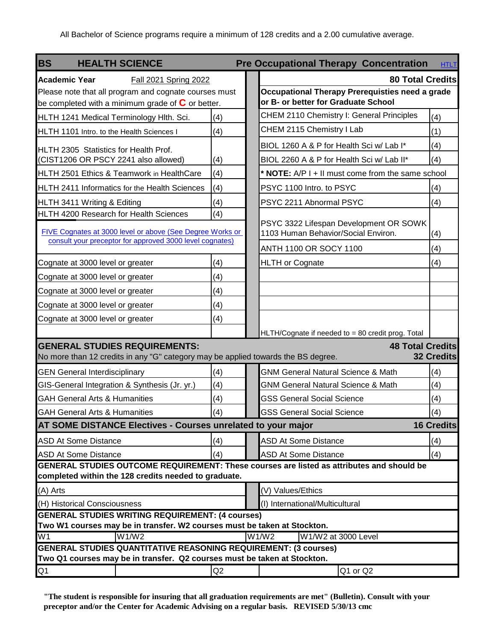<span id="page-2-0"></span>

| <b>BS</b><br><b>HEALTH SCIENCE</b>                                                                                                                 |     | <b>Pre Occupational Therapy Concentration</b>                                             | <b>HTLT</b> |
|----------------------------------------------------------------------------------------------------------------------------------------------------|-----|-------------------------------------------------------------------------------------------|-------------|
| <b>Academic Year</b><br>Fall 2021 Spring 2022                                                                                                      |     | <b>80 Total Credits</b>                                                                   |             |
| Please note that all program and cognate courses must<br>be completed with a minimum grade of $C$ or better.                                       |     | Occupational Therapy Prerequisties need a grade<br>or B- or better for Graduate School    |             |
| HLTH 1241 Medical Terminology Hlth. Sci.                                                                                                           | (4) | CHEM 2110 Chemistry I: General Principles<br>(4)                                          |             |
| HLTH 1101 Intro. to the Health Sciences I                                                                                                          | (4) | CHEM 2115 Chemistry I Lab<br>(1)                                                          |             |
| HLTH 2305 Statistics for Health Prof.                                                                                                              |     | BIOL 1260 A & P for Health Sci w/ Lab I*<br>(4)                                           |             |
| (CIST1206 OR PSCY 2241 also allowed)                                                                                                               | (4) | (4)<br>BIOL 2260 A & P for Health Sci w/ Lab II*                                          |             |
| HLTH 2501 Ethics & Teamwork in HealthCare                                                                                                          | (4) | * NOTE: A/P I + II must come from the same school                                         |             |
| HLTH 2411 Informatics for the Health Sciences                                                                                                      | (4) | PSYC 1100 Intro. to PSYC<br>(4)                                                           |             |
| HLTH 3411 Writing & Editing                                                                                                                        | (4) | PSYC 2211 Abnormal PSYC<br>(4)                                                            |             |
| HLTH 4200 Research for Health Sciences                                                                                                             | (4) |                                                                                           |             |
| FIVE Cognates at 3000 level or above (See Degree Works or                                                                                          |     | PSYC 3322 Lifespan Development OR SOWK<br>1103 Human Behavior/Social Environ.<br>(4)      |             |
| consult your preceptor for approved 3000 level cognates)                                                                                           |     | ANTH 1100 OR SOCY 1100<br>(4)                                                             |             |
| Cognate at 3000 level or greater                                                                                                                   | (4) | <b>HLTH or Cognate</b><br>(4)                                                             |             |
| Cognate at 3000 level or greater                                                                                                                   | (4) |                                                                                           |             |
| Cognate at 3000 level or greater                                                                                                                   | (4) |                                                                                           |             |
| Cognate at 3000 level or greater                                                                                                                   | (4) |                                                                                           |             |
| Cognate at 3000 level or greater                                                                                                                   | (4) |                                                                                           |             |
|                                                                                                                                                    |     | HLTH/Cognate if needed to = 80 credit prog. Total                                         |             |
| <b>GENERAL STUDIES REQUIREMENTS:</b><br>No more than 12 credits in any "G" category may be applied towards the BS degree.                          |     | <b>48 Total Credits</b><br><b>32 Credits</b>                                              |             |
| <b>GEN General Interdisciplinary</b>                                                                                                               | (4) | (4)<br><b>GNM General Natural Science &amp; Math</b>                                      |             |
| GIS-General Integration & Synthesis (Jr. yr.)                                                                                                      | (4) | (4)<br><b>GNM General Natural Science &amp; Math</b>                                      |             |
| <b>GAH General Arts &amp; Humanities</b>                                                                                                           | (4) | <b>GSS General Social Science</b><br>(4)                                                  |             |
| <b>GAH General Arts &amp; Humanities</b>                                                                                                           | (4) | (4)<br><b>GSS General Social Science</b>                                                  |             |
| AT SOME DISTANCE Electives - Courses unrelated to your major                                                                                       |     | <b>16 Credits</b>                                                                         |             |
| <b>ASD At Some Distance</b>                                                                                                                        | (4) | (4)<br><b>ASD At Some Distance</b>                                                        |             |
| <b>ASD At Some Distance</b>                                                                                                                        | (4) | (4)<br><b>ASD At Some Distance</b>                                                        |             |
|                                                                                                                                                    |     | GENERAL STUDIES OUTCOME REQUIREMENT: These courses are listed as attributes and should be |             |
| completed within the 128 credits needed to graduate.                                                                                               |     |                                                                                           |             |
| (A) Arts                                                                                                                                           |     | (V) Values/Ethics                                                                         |             |
| (H) Historical Consciousness<br><b>GENERAL STUDIES WRITING REQUIREMENT: (4 courses)</b>                                                            |     | (I) International/Multicultural                                                           |             |
| Two W1 courses may be in transfer. W2 courses must be taken at Stockton.                                                                           |     |                                                                                           |             |
| W1/W2<br>W1                                                                                                                                        |     | W1/W2<br>W1/W2 at 3000 Level                                                              |             |
| <b>GENERAL STUDIES QUANTITATIVE REASONING REQUIREMENT: (3 courses)</b><br>Two Q1 courses may be in transfer. Q2 courses must be taken at Stockton. |     |                                                                                           |             |
| Q1                                                                                                                                                 | Q2  | Q1 or Q2                                                                                  |             |

**"The student is responsible for insuring that all graduation requirements are met" (Bulletin). Consult with your preceptor and/or the Center for Academic Advising on a regular basis. REVISED 5/30/13 cmc**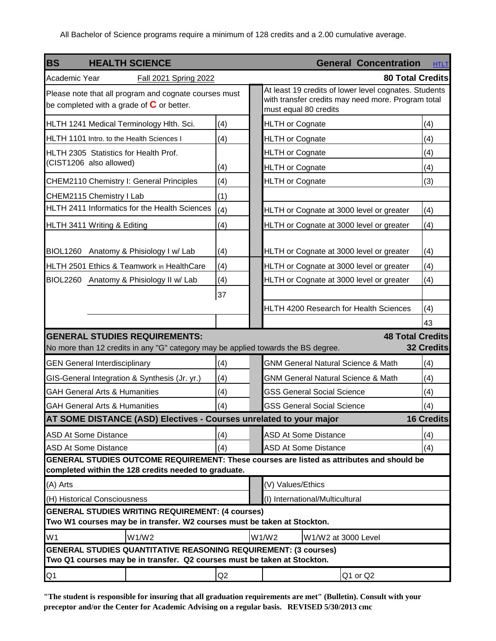<span id="page-3-0"></span>

| <b>BS</b>                                 | <b>HEALTH SCIENCE</b>                                                                                                                              |     |                                   |                     | <b>General Concentration</b>                                                                                | <b>HTLT</b>       |
|-------------------------------------------|----------------------------------------------------------------------------------------------------------------------------------------------------|-----|-----------------------------------|---------------------|-------------------------------------------------------------------------------------------------------------|-------------------|
| Academic Year                             | Fall 2021 Spring 2022                                                                                                                              |     |                                   |                     | <b>80 Total Credits</b>                                                                                     |                   |
|                                           | Please note that all program and cognate courses must<br>be completed with a grade of $C$ or better.                                               |     | must equal 80 credits             |                     | At least 19 credits of lower level cognates. Students<br>with transfer credits may need more. Program total |                   |
|                                           | HLTH 1241 Medical Terminology Hlth. Sci.                                                                                                           | (4) | <b>HLTH or Cognate</b>            |                     |                                                                                                             | (4)               |
| HLTH 1101 Intro. to the Health Sciences I |                                                                                                                                                    | (4) | <b>HLTH or Cognate</b>            |                     |                                                                                                             | (4)               |
| HLTH 2305 Statistics for Health Prof.     |                                                                                                                                                    |     | <b>HLTH or Cognate</b>            |                     |                                                                                                             | (4)               |
| (CIST1206 also allowed)                   |                                                                                                                                                    | (4) | <b>HLTH or Cognate</b>            |                     |                                                                                                             | (4)               |
|                                           | CHEM2110 Chemistry I: General Principles                                                                                                           | (4) | <b>HLTH</b> or Cognate            |                     |                                                                                                             | (3)               |
| CHEM2115 Chemistry I Lab                  |                                                                                                                                                    | (1) |                                   |                     |                                                                                                             |                   |
|                                           | HLTH 2411 Informatics for the Health Sciences                                                                                                      | (4) |                                   |                     | HLTH or Cognate at 3000 level or greater                                                                    | (4)               |
| HLTH 3411 Writing & Editing               |                                                                                                                                                    | (4) |                                   |                     | HLTH or Cognate at 3000 level or greater                                                                    | (4)               |
|                                           | BIOL1260 Anatomy & Phisiology I w/ Lab                                                                                                             | (4) |                                   |                     | HLTH or Cognate at 3000 level or greater                                                                    | (4)               |
|                                           | HLTH 2501 Ethics & Teamwork in HealthCare                                                                                                          | (4) |                                   |                     | HLTH or Cognate at 3000 level or greater                                                                    | (4)               |
|                                           | BIOL2260 Anatomy & Phisiology II w/ Lab                                                                                                            | (4) |                                   |                     | HLTH or Cognate at 3000 level or greater                                                                    | (4)               |
|                                           |                                                                                                                                                    | 37  |                                   |                     | HLTH 4200 Research for Health Sciences                                                                      | (4)               |
|                                           |                                                                                                                                                    |     |                                   |                     |                                                                                                             | 43                |
|                                           | <b>GENERAL STUDIES REQUIREMENTS:</b>                                                                                                               |     |                                   |                     | <b>48 Total Credits</b>                                                                                     |                   |
|                                           | No more than 12 credits in any "G" category may be applied towards the BS degree.                                                                  |     |                                   |                     |                                                                                                             | <b>32 Credits</b> |
| <b>GEN General Interdisciplinary</b>      |                                                                                                                                                    | (4) |                                   |                     | <b>GNM General Natural Science &amp; Math</b>                                                               | (4)               |
|                                           | GIS-General Integration & Synthesis (Jr. yr.)                                                                                                      | (4) |                                   |                     | <b>GNM General Natural Science &amp; Math</b>                                                               | (4)               |
| <b>GAH General Arts &amp; Humanities</b>  |                                                                                                                                                    | (4) | <b>GSS General Social Science</b> |                     |                                                                                                             | (4)               |
| <b>GAH General Arts &amp; Humanities</b>  |                                                                                                                                                    | (4) | <b>GSS General Social Science</b> |                     |                                                                                                             | (4)               |
|                                           | <b>AT SOME DISTANCE (ASD) Electives - Courses unrelated to your major</b>                                                                          |     |                                   |                     |                                                                                                             | <b>16 Credits</b> |
| <b>ASD At Some Distance</b>               |                                                                                                                                                    | (4) | <b>ASD At Some Distance</b>       |                     |                                                                                                             | (4)               |
| <b>ASD At Some Distance</b>               |                                                                                                                                                    | (4) | <b>ASD At Some Distance</b>       |                     |                                                                                                             | (4)               |
|                                           | GENERAL STUDIES OUTCOME REQUIREMENT: These courses are listed as attributes and should be<br>completed within the 128 credits needed to graduate.  |     |                                   |                     |                                                                                                             |                   |
| (A) Arts                                  |                                                                                                                                                    |     | (V) Values/Ethics                 |                     |                                                                                                             |                   |
| (H) Historical Consciousness              |                                                                                                                                                    |     | (I) International/Multicultural   |                     |                                                                                                             |                   |
|                                           | <b>GENERAL STUDIES WRITING REQUIREMENT: (4 courses)</b><br>Two W1 courses may be in transfer. W2 courses must be taken at Stockton.                |     |                                   |                     |                                                                                                             |                   |
| W <sub>1</sub>                            | W1/W2                                                                                                                                              |     | W1/W2                             | W1/W2 at 3000 Level |                                                                                                             |                   |
|                                           | <b>GENERAL STUDIES QUANTITATIVE REASONING REQUIREMENT: (3 courses)</b><br>Two Q1 courses may be in transfer. Q2 courses must be taken at Stockton. |     |                                   |                     |                                                                                                             |                   |
| Q <sub>1</sub>                            |                                                                                                                                                    | Q2  |                                   |                     | Q1 or Q2                                                                                                    |                   |

**"The student is responsible for insuring that all graduation requirements are met" (Bulletin). Consult with your preceptor and/or the Center for Academic Advising on a regular basis. REVISED 5/30/2013 cmc**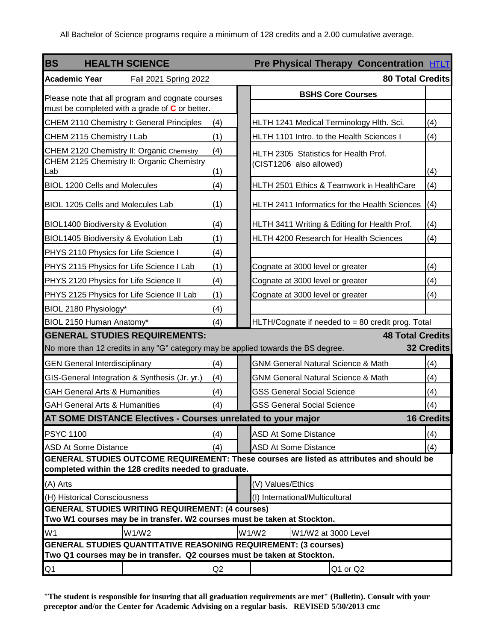<span id="page-4-0"></span>

| <b>BS</b><br><b>HEALTH SCIENCE</b>                                                                 |     | <b>Pre Physical Therapy Concentration HTLT</b>                                            |                   |
|----------------------------------------------------------------------------------------------------|-----|-------------------------------------------------------------------------------------------|-------------------|
| <b>Academic Year</b><br><b>Fall 2021 Spring 2022</b>                                               |     | <b>80 Total Credits</b>                                                                   |                   |
| Please note that all program and cognate courses<br>must be completed with a grade of C or better. |     | <b>BSHS Core Courses</b>                                                                  |                   |
| CHEM 2110 Chemistry I: General Principles                                                          | (4) | HLTH 1241 Medical Terminology Hlth. Sci.                                                  | (4)               |
| CHEM 2115 Chemistry I Lab                                                                          | (1) | HLTH 1101 Intro. to the Health Sciences I                                                 | (4)               |
| CHEM 2120 Chemistry II: Organic Chemistry                                                          | (4) | HLTH 2305 Statistics for Health Prof.                                                     |                   |
| CHEM 2125 Chemistry II: Organic Chemistry<br>Lab                                                   | (1) | (CIST1206 also allowed)                                                                   | (4)               |
| <b>BIOL 1200 Cells and Molecules</b>                                                               | (4) | HLTH 2501 Ethics & Teamwork in HealthCare                                                 | (4)               |
| <b>BIOL 1205 Cells and Molecules Lab</b>                                                           | (1) | HLTH 2411 Informatics for the Health Sciences                                             | (4)               |
| <b>BIOL1400 Biodiversity &amp; Evolution</b>                                                       | (4) | HLTH 3411 Writing & Editing for Health Prof.                                              | (4)               |
| BIOL1405 Biodiversity & Evolution Lab                                                              | (1) | HLTH 4200 Research for Health Sciences                                                    | (4)               |
| PHYS 2110 Physics for Life Science I                                                               | (4) |                                                                                           |                   |
| PHYS 2115 Physics for Life Science I Lab                                                           | (1) | Cognate at 3000 level or greater                                                          | (4)               |
| PHYS 2120 Physics for Life Science II                                                              | (4) | Cognate at 3000 level or greater                                                          | (4)               |
| PHYS 2125 Physics for Life Science II Lab                                                          | (1) | Cognate at 3000 level or greater                                                          | (4)               |
| BIOL 2180 Physiology*                                                                              | (4) |                                                                                           |                   |
| BIOL 2150 Human Anatomy*                                                                           | (4) | HLTH/Cognate if needed to = 80 credit prog. Total                                         |                   |
| <b>GENERAL STUDIES REQUIREMENTS:</b>                                                               |     | <b>48 Total Credits</b>                                                                   |                   |
| No more than 12 credits in any "G" category may be applied towards the BS degree.                  |     |                                                                                           | 32 Credits        |
| <b>GEN General Interdisciplinary</b>                                                               | (4) | <b>GNM General Natural Science &amp; Math</b>                                             | (4)               |
| GIS-General Integration & Synthesis (Jr. yr.)                                                      | (4) | <b>GNM General Natural Science &amp; Math</b>                                             | (4)               |
| <b>GAH General Arts &amp; Humanities</b>                                                           | (4) | <b>GSS General Social Science</b>                                                         | (4)               |
| <b>GAH General Arts &amp; Humanities</b>                                                           | (4) | <b>GSS General Social Science</b>                                                         | (4)               |
| <b>IAT SOME DISTANCE Electives - Courses unrelated to your major</b>                               |     |                                                                                           | <b>16 Credits</b> |
| <b>PSYC 1100</b>                                                                                   | (4) | <b>ASD At Some Distance</b>                                                               | (4)               |
| <b>ASD At Some Distance</b>                                                                        | (4) | <b>ASD At Some Distance</b>                                                               | (4)               |
| completed within the 128 credits needed to graduate.                                               |     | GENERAL STUDIES OUTCOME REQUIREMENT: These courses are listed as attributes and should be |                   |
| (A) Arts                                                                                           |     | (V) Values/Ethics                                                                         |                   |
| (H) Historical Consciousness                                                                       |     | (I) International/Multicultural                                                           |                   |
| <b>GENERAL STUDIES WRITING REQUIREMENT: (4 courses)</b>                                            |     |                                                                                           |                   |
| Two W1 courses may be in transfer. W2 courses must be taken at Stockton.<br>W1/W2                  |     | W1/W2<br>W1/W2 at 3000 Level                                                              |                   |
| W1<br><b>GENERAL STUDIES QUANTITATIVE REASONING REQUIREMENT: (3 courses)</b>                       |     |                                                                                           |                   |
| Two Q1 courses may be in transfer. Q2 courses must be taken at Stockton.                           |     |                                                                                           |                   |
| Q1                                                                                                 | Q2  | Q1 or Q2                                                                                  |                   |

**"The student is responsible for insuring that all graduation requirements are met" (Bulletin). Consult with your preceptor and/or the Center for Academic Advising on a regular basis. REVISED 5/30/2013 cmc**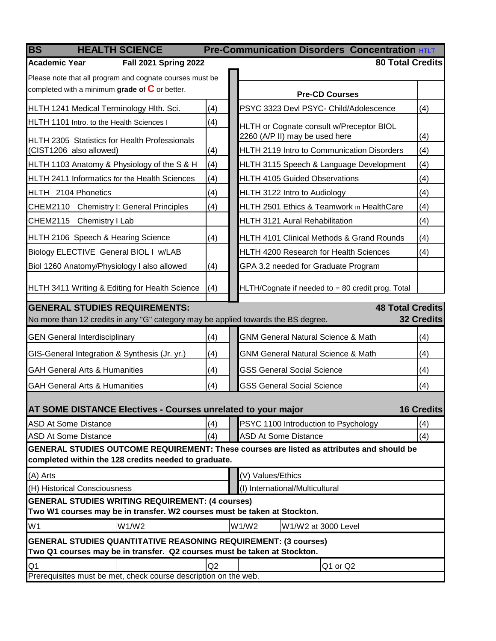<span id="page-5-0"></span>

| <b>HEALTH SCIENCE</b><br><b>BS</b>                                                |                | <b>Pre-Communication Disorders Concentration HTLT</b>                                                                    |                   |
|-----------------------------------------------------------------------------------|----------------|--------------------------------------------------------------------------------------------------------------------------|-------------------|
| <b>Academic Year</b><br><b>Fall 2021 Spring 2022</b>                              |                | <b>80 Total Credits</b>                                                                                                  |                   |
| Please note that all program and cognate courses must be                          |                |                                                                                                                          |                   |
| completed with a minimum grade of $\mathbf C$ or better.                          |                | <b>Pre-CD Courses</b>                                                                                                    |                   |
| HLTH 1241 Medical Terminology Hlth. Sci.                                          | (4)            | PSYC 3323 Devl PSYC- Child/Adolescence                                                                                   | (4)               |
| HLTH 1101 Intro. to the Health Sciences I                                         | (4)            | HLTH or Cognate consult w/Preceptor BIOL                                                                                 |                   |
| <b>HLTH 2305 Statistics for Health Professionals</b>                              |                | 2260 (A/P II) may be used here                                                                                           | (4)               |
| (CIST1206 also allowed)                                                           | (4)            | HLTH 2119 Intro to Communication Disorders                                                                               | (4)               |
| HLTH 1103 Anatomy & Physiology of the S & H                                       | (4)            | HLTH 3115 Speech & Language Development                                                                                  | (4)               |
| <b>HLTH 2411 Informatics for the Health Sciences</b>                              | (4)            | <b>HLTH 4105 Guided Observations</b>                                                                                     | (4)               |
| HLTH 2104 Phonetics                                                               | (4)            | HLTH 3122 Intro to Audiology                                                                                             | (4)               |
| CHEM2110 Chemistry I: General Principles                                          | (4)            | HLTH 2501 Ethics & Teamwork in HealthCare                                                                                | (4)               |
| CHEM2115 Chemistry I Lab                                                          |                | <b>HLTH 3121 Aural Rehabilitation</b>                                                                                    | (4)               |
| HLTH 2106 Speech & Hearing Science                                                | (4)            | HLTH 4101 Clinical Methods & Grand Rounds                                                                                | (4)               |
| Biology ELECTIVE General BIOL I w/LAB                                             |                | <b>HLTH 4200 Research for Health Sciences</b>                                                                            | (4)               |
| Biol 1260 Anatomy/Physiology I also allowed                                       | (4)            | GPA 3.2 needed for Graduate Program                                                                                      |                   |
|                                                                                   |                |                                                                                                                          |                   |
| HLTH 3411 Writing & Editing for Health Science                                    | (4)            | HLTH/Cognate if needed to = 80 credit prog. Total                                                                        |                   |
| <b>GENERAL STUDIES REQUIREMENTS:</b>                                              |                | <b>48 Total Credits</b>                                                                                                  |                   |
| No more than 12 credits in any "G" category may be applied towards the BS degree. |                |                                                                                                                          | <b>32 Credits</b> |
| <b>GEN General Interdisciplinary</b>                                              | (4)            | <b>GNM General Natural Science &amp; Math</b>                                                                            | (4)               |
| GIS-General Integration & Synthesis (Jr. yr.)                                     | (4)            | <b>GNM General Natural Science &amp; Math</b>                                                                            | (4)               |
| <b>GAH General Arts &amp; Humanities</b>                                          | (4)            | <b>GSS General Social Science</b>                                                                                        | (4)               |
| <b>GAH General Arts &amp; Humanities</b>                                          | (4)            | <b>GSS General Social Science</b>                                                                                        | (4)               |
|                                                                                   |                |                                                                                                                          |                   |
| <b>AT SOME DISTANCE Electives - Courses unrelated to your major</b>               |                |                                                                                                                          | <b>16 Credits</b> |
| <b>ASD At Some Distance</b>                                                       | (4)            | PSYC 1100 Introduction to Psychology                                                                                     | (4)               |
| <b>ASD At Some Distance</b>                                                       | (4)            | <b>ASD At Some Distance</b><br>GENERAL STUDIES OUTCOME REQUIREMENT: These courses are listed as attributes and should be | (4)               |
| completed within the 128 credits needed to graduate.                              |                |                                                                                                                          |                   |
| (A) Arts                                                                          |                | (V) Values/Ethics                                                                                                        |                   |
| (H) Historical Consciousness                                                      |                | (I) International/Multicultural                                                                                          |                   |
| <b>GENERAL STUDIES WRITING REQUIREMENT: (4 courses)</b>                           |                |                                                                                                                          |                   |
| Two W1 courses may be in transfer. W2 courses must be taken at Stockton.          |                |                                                                                                                          |                   |
| W1/W2<br>W <sub>1</sub>                                                           |                | W1/W2<br>W1/W2 at 3000 Level                                                                                             |                   |
| <b>GENERAL STUDIES QUANTITATIVE REASONING REQUIREMENT: (3 courses)</b>            |                |                                                                                                                          |                   |
| Two Q1 courses may be in transfer. Q2 courses must be taken at Stockton.          | Q <sub>2</sub> |                                                                                                                          |                   |
| Q <sub>1</sub><br>Prerequisites must be met, check course description on the web. |                | Q1 or Q2                                                                                                                 |                   |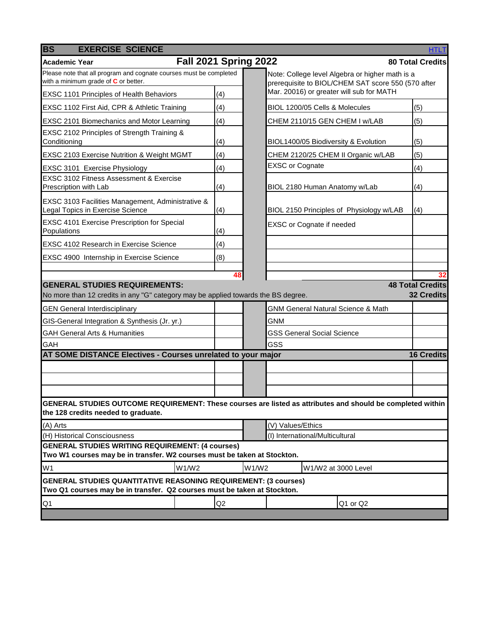<span id="page-6-0"></span>

| <b>BS</b><br><b>EXERCISE SCIENCE</b>                                                                                                               |     |       |                        |                                                                                                       | <b>HTLT</b>             |
|----------------------------------------------------------------------------------------------------------------------------------------------------|-----|-------|------------------------|-------------------------------------------------------------------------------------------------------|-------------------------|
| <b>Fall 2021 Spring 2022</b><br>Academic Year                                                                                                      |     |       |                        |                                                                                                       | <b>80 Total Credits</b> |
| Please note that all program and cognate courses must be completed<br>with a minimum grade of C or better.                                         |     |       |                        | Note: College level Algebra or higher math is a<br>prerequisite to BIOL/CHEM SAT score 550 (570 after |                         |
| <b>EXSC 1101 Principles of Health Behaviors</b>                                                                                                    | (4) |       |                        | Mar. 20016) or greater will sub for MATH                                                              |                         |
| EXSC 1102 First Aid, CPR & Athletic Training                                                                                                       | (4) |       |                        | BIOL 1200/05 Cells & Molecules                                                                        | (5)                     |
| EXSC 2101 Biomechanics and Motor Learning                                                                                                          | (4) |       |                        | CHEM 2110/15 GEN CHEM I w/LAB                                                                         | (5)                     |
| EXSC 2102 Principles of Strength Training &<br>Conditioning                                                                                        | (4) |       |                        | BIOL1400/05 Biodiversity & Evolution                                                                  | (5)                     |
| EXSC 2103 Exercise Nutrition & Weight MGMT                                                                                                         | (4) |       |                        | CHEM 2120/25 CHEM II Organic w/LAB                                                                    | (5)                     |
| EXSC 3101 Exercise Physiology                                                                                                                      | (4) |       | <b>EXSC or Cognate</b> |                                                                                                       | (4)                     |
| <b>EXSC 3102 Fitness Assessment &amp; Exercise</b><br>Prescription with Lab                                                                        | (4) |       |                        | BIOL 2180 Human Anatomy w/Lab                                                                         | (4)                     |
| EXSC 3103 Facilities Management, Administrative &<br>Legal Topics in Exercise Science                                                              | (4) |       |                        | BIOL 2150 Principles of Physiology w/LAB                                                              | (4)                     |
| <b>EXSC 4101 Exercise Prescription for Special</b><br>Populations                                                                                  | (4) |       |                        | EXSC or Cognate if needed                                                                             |                         |
| EXSC 4102 Research in Exercise Science                                                                                                             | (4) |       |                        |                                                                                                       |                         |
| EXSC 4900 Internship in Exercise Science                                                                                                           | (8) |       |                        |                                                                                                       |                         |
|                                                                                                                                                    |     |       |                        |                                                                                                       | 32                      |
| <b>GENERAL STUDIES REQUIREMENTS:</b>                                                                                                               |     |       |                        |                                                                                                       | <b>48 Total Credits</b> |
| No more than 12 credits in any "G" category may be applied towards the BS degree.                                                                  |     |       |                        |                                                                                                       | <b>32 Credits</b>       |
| <b>GEN General Interdisciplinary</b>                                                                                                               |     |       |                        | <b>GNM General Natural Science &amp; Math</b>                                                         |                         |
| GIS-General Integration & Synthesis (Jr. yr.)                                                                                                      |     |       | <b>GNM</b>             |                                                                                                       |                         |
| <b>GAH General Arts &amp; Humanities</b>                                                                                                           |     |       |                        | <b>GSS General Social Science</b>                                                                     |                         |
| GAH                                                                                                                                                |     |       | GSS                    |                                                                                                       |                         |
| AT SOME DISTANCE Electives - Courses unrelated to your major                                                                                       |     |       |                        |                                                                                                       | <b>16 Credits</b>       |
|                                                                                                                                                    |     |       |                        |                                                                                                       |                         |
|                                                                                                                                                    |     |       |                        |                                                                                                       |                         |
| GENERAL STUDIES OUTCOME REQUIREMENT: These courses are listed as attributes and should be completed within<br>the 128 credits needed to graduate.  |     |       |                        |                                                                                                       |                         |
| (A) Arts                                                                                                                                           |     |       | (V) Values/Ethics      |                                                                                                       |                         |
| (H) Historical Consciousness                                                                                                                       |     |       |                        | (I) International/Multicultural                                                                       |                         |
| <b>GENERAL STUDIES WRITING REQUIREMENT: (4 courses)</b><br>Two W1 courses may be in transfer. W2 courses must be taken at Stockton.                |     |       |                        |                                                                                                       |                         |
| W1<br>W1/W2                                                                                                                                        |     | W1/W2 |                        | W1/W2 at 3000 Level                                                                                   |                         |
| <b>GENERAL STUDIES QUANTITATIVE REASONING REQUIREMENT: (3 courses)</b><br>Two Q1 courses may be in transfer. Q2 courses must be taken at Stockton. |     |       |                        |                                                                                                       |                         |
| Q1                                                                                                                                                 | Q2  |       |                        | Q1 or Q2                                                                                              |                         |
|                                                                                                                                                    |     |       |                        |                                                                                                       |                         |

 $\mathcal{L}^{\text{max}}_{\text{max}}$  and  $\mathcal{L}^{\text{max}}_{\text{max}}$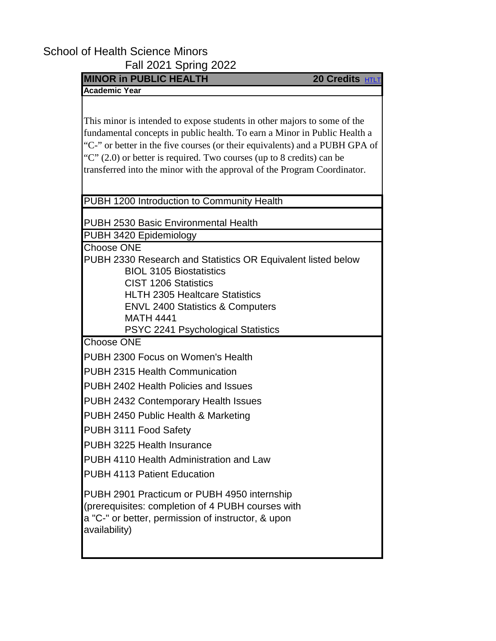## <span id="page-7-0"></span>School of Health Science Minors

Fall 2021 Spring 2022

| <b>MINOR in PUBLIC HEALTH</b>                                                                                                                                                                                                                                                                                                                                                                 | 20 Credits HTLT |
|-----------------------------------------------------------------------------------------------------------------------------------------------------------------------------------------------------------------------------------------------------------------------------------------------------------------------------------------------------------------------------------------------|-----------------|
| <b>Academic Year</b>                                                                                                                                                                                                                                                                                                                                                                          |                 |
| This minor is intended to expose students in other majors to some of the<br>fundamental concepts in public health. To earn a Minor in Public Health a<br>"C-" or better in the five courses (or their equivalents) and a PUBH GPA of<br>" $C$ " (2.0) or better is required. Two courses (up to 8 credits) can be<br>transferred into the minor with the approval of the Program Coordinator. |                 |
| PUBH 1200 Introduction to Community Health                                                                                                                                                                                                                                                                                                                                                    |                 |
| <b>PUBH 2530 Basic Environmental Health</b>                                                                                                                                                                                                                                                                                                                                                   |                 |
| PUBH 3420 Epidemiology                                                                                                                                                                                                                                                                                                                                                                        |                 |
| PUBH 2330 Research and Statistics OR Equivalent listed below<br><b>BIOL 3105 Biostatistics</b><br><b>CIST 1206 Statistics</b><br><b>HLTH 2305 Healtcare Statistics</b><br><b>ENVL 2400 Statistics &amp; Computers</b><br><b>MATH 4441</b>                                                                                                                                                     |                 |
| PSYC 2241 Psychological Statistics<br><b>Choose ONE</b>                                                                                                                                                                                                                                                                                                                                       |                 |
| PUBH 2300 Focus on Women's Health                                                                                                                                                                                                                                                                                                                                                             |                 |
| <b>PUBH 2315 Health Communication</b>                                                                                                                                                                                                                                                                                                                                                         |                 |
| PUBH 2402 Health Policies and Issues                                                                                                                                                                                                                                                                                                                                                          |                 |
| <b>PUBH 2432 Contemporary Health Issues</b>                                                                                                                                                                                                                                                                                                                                                   |                 |
| PUBH 2450 Public Health & Marketing                                                                                                                                                                                                                                                                                                                                                           |                 |
| PUBH 3111 Food Safety                                                                                                                                                                                                                                                                                                                                                                         |                 |
| PUBH 3225 Health Insurance                                                                                                                                                                                                                                                                                                                                                                    |                 |
| PUBH 4110 Health Administration and Law                                                                                                                                                                                                                                                                                                                                                       |                 |
| <b>PUBH 4113 Patient Education</b>                                                                                                                                                                                                                                                                                                                                                            |                 |
| PUBH 2901 Practicum or PUBH 4950 internship<br>(prerequisites: completion of 4 PUBH courses with<br>a "C-" or better, permission of instructor, & upon<br>availability)                                                                                                                                                                                                                       |                 |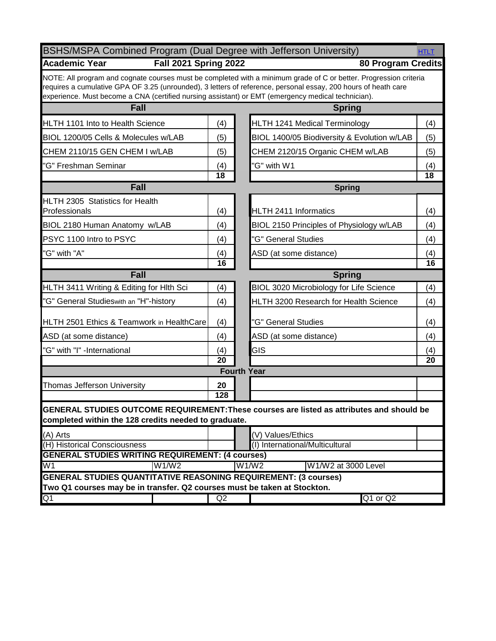<span id="page-8-0"></span>

| BSHS/MSPA Combined Program (Dual Degree with Jefferson University)<br><b>HTLT</b>                                                                                                                                    |                                       |                                                                                                                   |                 |  |  |
|----------------------------------------------------------------------------------------------------------------------------------------------------------------------------------------------------------------------|---------------------------------------|-------------------------------------------------------------------------------------------------------------------|-----------------|--|--|
| <b>Academic Year</b><br><b>Fall 2021 Spring 2022</b>                                                                                                                                                                 |                                       | <b>80 Program Credits</b>                                                                                         |                 |  |  |
| requires a cumulative GPA OF 3.25 (unrounded), 3 letters of reference, personal essay, 200 hours of heath care<br>experience. Must become a CNA (certified nursing assistant) or EMT (emergency medical technician). |                                       | NOTE: All program and cognate courses must be completed with a minimum grade of C or better. Progression criteria |                 |  |  |
| <b>Fall</b>                                                                                                                                                                                                          |                                       | <b>Spring</b>                                                                                                     |                 |  |  |
| <b>HLTH 1101 Into to Health Science</b>                                                                                                                                                                              | (4)                                   | HLTH 1241 Medical Terminology                                                                                     | (4)             |  |  |
| BIOL 1200/05 Cells & Molecules w/LAB                                                                                                                                                                                 | (5)                                   | BIOL 1400/05 Biodiversity & Evolution w/LAB                                                                       | (5)             |  |  |
| CHEM 2110/15 GEN CHEM I w/LAB                                                                                                                                                                                        | (5)                                   | CHEM 2120/15 Organic CHEM w/LAB                                                                                   | (5)             |  |  |
| "G" Freshman Seminar                                                                                                                                                                                                 | (4)                                   | "G" with W1                                                                                                       | (4)             |  |  |
|                                                                                                                                                                                                                      | $\overline{18}$                       |                                                                                                                   | $\overline{18}$ |  |  |
| Fall                                                                                                                                                                                                                 |                                       | <b>Spring</b>                                                                                                     |                 |  |  |
| HLTH 2305 Statistics for Health<br>Professionals                                                                                                                                                                     | (4)                                   | HLTH 2411 Informatics                                                                                             | (4)             |  |  |
| BIOL 2180 Human Anatomy w/LAB                                                                                                                                                                                        | (4)                                   | BIOL 2150 Principles of Physiology w/LAB                                                                          | (4)             |  |  |
| PSYC 1100 Intro to PSYC                                                                                                                                                                                              | (4)                                   | "G" General Studies                                                                                               | (4)             |  |  |
| "G" with "A"                                                                                                                                                                                                         | (4)                                   | ASD (at some distance)                                                                                            | (4)             |  |  |
|                                                                                                                                                                                                                      | $\overline{16}$                       |                                                                                                                   | 16              |  |  |
| Fall                                                                                                                                                                                                                 |                                       | <b>Spring</b>                                                                                                     |                 |  |  |
| HLTH 3411 Writing & Editing for Hlth Sci                                                                                                                                                                             | (4)                                   | BIOL 3020 Microbiology for Life Science                                                                           | (4)             |  |  |
| "G" General Studieswith an "H"-history                                                                                                                                                                               | (4)                                   | HLTH 3200 Research for Health Science                                                                             | (4)             |  |  |
| HLTH 2501 Ethics & Teamwork in HealthCare                                                                                                                                                                            | (4)                                   | "G" General Studies                                                                                               | (4)             |  |  |
| ASD (at some distance)                                                                                                                                                                                               | (4)                                   | ASD (at some distance)                                                                                            | (4)             |  |  |
| "G" with "I" -International                                                                                                                                                                                          | (4)                                   | GIS                                                                                                               | (4)             |  |  |
|                                                                                                                                                                                                                      | $\overline{20}$<br><b>Fourth Year</b> |                                                                                                                   | 20              |  |  |
|                                                                                                                                                                                                                      |                                       |                                                                                                                   |                 |  |  |
| <b>Thomas Jefferson University</b>                                                                                                                                                                                   | 20<br>128                             |                                                                                                                   |                 |  |  |
| completed within the 128 credits needed to graduate.                                                                                                                                                                 |                                       | GENERAL STUDIES OUTCOME REQUIREMENT: These courses are listed as attributes and should be                         |                 |  |  |
| (A) Arts                                                                                                                                                                                                             |                                       | (V) Values/Ethics                                                                                                 |                 |  |  |
| (H) Historical Consciousness                                                                                                                                                                                         |                                       | (I) International/Multicultural                                                                                   |                 |  |  |
| <b>GENERAL STUDIES WRITING REQUIREMENT: (4 courses)</b>                                                                                                                                                              |                                       |                                                                                                                   |                 |  |  |
| W1<br>W1/W2                                                                                                                                                                                                          |                                       | W1/W2<br>W1/W2 at 3000 Level                                                                                      |                 |  |  |
| <b>GENERAL STUDIES QUANTITATIVE REASONING REQUIREMENT: (3 courses)</b><br>Two Q1 courses may be in transfer. Q2 courses must be taken at Stockton.                                                                   |                                       |                                                                                                                   |                 |  |  |
| Q1                                                                                                                                                                                                                   | Q2                                    | $Q1$ or $Q2$                                                                                                      |                 |  |  |
|                                                                                                                                                                                                                      |                                       |                                                                                                                   |                 |  |  |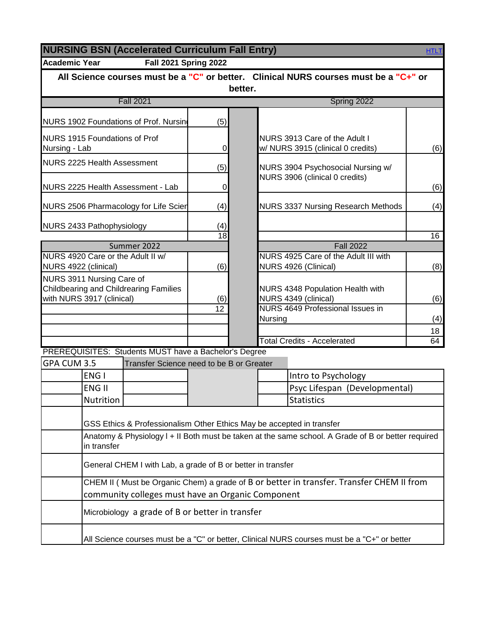<span id="page-9-0"></span>

| <b>NURSING BSN (Accelerated Curriculum Fall Entry)</b><br><b>HTLT</b>                |                |         |         |                                                                                                    |          |  |
|--------------------------------------------------------------------------------------|----------------|---------|---------|----------------------------------------------------------------------------------------------------|----------|--|
| <b>Academic Year</b><br><b>Fall 2021 Spring 2022</b>                                 |                |         |         |                                                                                                    |          |  |
| All Science courses must be a "C" or better. Clinical NURS courses must be a "C+" or |                |         |         |                                                                                                    |          |  |
|                                                                                      |                | better. |         |                                                                                                    |          |  |
| <b>Fall 2021</b>                                                                     |                |         |         | Spring 2022                                                                                        |          |  |
| NURS 1902 Foundations of Prof. Nursing                                               | (5)            |         |         |                                                                                                    |          |  |
| NURS 1915 Foundations of Prof<br>Nursing - Lab                                       | $\overline{0}$ |         |         | NURS 3913 Care of the Adult I<br>w/ NURS 3915 (clinical 0 credits)                                 | (6)      |  |
| <b>NURS 2225 Health Assessment</b>                                                   | (5)            |         |         | NURS 3904 Psychosocial Nursing w/                                                                  |          |  |
| NURS 2225 Health Assessment - Lab                                                    | $\overline{0}$ |         |         | NURS 3906 (clinical 0 credits)                                                                     | (6)      |  |
| NURS 2506 Pharmacology for Life Scien                                                | (4)            |         |         | <b>NURS 3337 Nursing Research Methods</b>                                                          | (4)      |  |
| NURS 2433 Pathophysiology                                                            | (4)            |         |         |                                                                                                    |          |  |
|                                                                                      | 18             |         |         |                                                                                                    | 16       |  |
| Summer 2022<br>NURS 4920 Care or the Adult II w/                                     |                |         |         | <b>Fall 2022</b><br>NURS 4925 Care of the Adult III with                                           |          |  |
| NURS 4922 (clinical)                                                                 | (6)            |         |         | NURS 4926 (Clinical)                                                                               | (8)      |  |
| NURS 3911 Nursing Care of                                                            |                |         |         |                                                                                                    |          |  |
| Childbearing and Childrearing Families                                               |                |         |         | NURS 4348 Population Health with                                                                   |          |  |
| with NURS 3917 (clinical)                                                            | (6)            |         |         | NURS 4349 (clinical)                                                                               | (6)      |  |
|                                                                                      | 12             |         |         | <b>NURS 4649 Professional Issues in</b>                                                            |          |  |
|                                                                                      |                |         | Nursing |                                                                                                    | (4)      |  |
|                                                                                      |                |         |         | <b>Total Credits - Accelerated</b>                                                                 | 18<br>64 |  |
| PREREQUISITES: Students MUST have a Bachelor's Degree                                |                |         |         |                                                                                                    |          |  |
| GPA CUM 3.5<br>Transfer Science need to be B or Greater                              |                |         |         |                                                                                                    |          |  |
| ENG I                                                                                |                |         |         | Intro to Psychology                                                                                |          |  |
| <b>ENG II</b>                                                                        |                |         |         | Psyc Lifespan (Developmental)                                                                      |          |  |
| <b>Nutrition</b>                                                                     |                |         |         | <b>Statistics</b>                                                                                  |          |  |
|                                                                                      |                |         |         |                                                                                                    |          |  |
| GSS Ethics & Professionalism Other Ethics May be accepted in transfer                |                |         |         |                                                                                                    |          |  |
|                                                                                      |                |         |         | Anatomy & Physiology I + II Both must be taken at the same school. A Grade of B or better required |          |  |
| in transfer                                                                          |                |         |         |                                                                                                    |          |  |
| General CHEM I with Lab, a grade of B or better in transfer                          |                |         |         |                                                                                                    |          |  |
|                                                                                      |                |         |         | CHEM II ( Must be Organic Chem) a grade of B or better in transfer. Transfer CHEM II from          |          |  |
| community colleges must have an Organic Component                                    |                |         |         |                                                                                                    |          |  |
| Microbiology a grade of B or better in transfer                                      |                |         |         |                                                                                                    |          |  |
|                                                                                      |                |         |         | All Science courses must be a "C" or better, Clinical NURS courses must be a "C+" or better        |          |  |
|                                                                                      |                |         |         |                                                                                                    |          |  |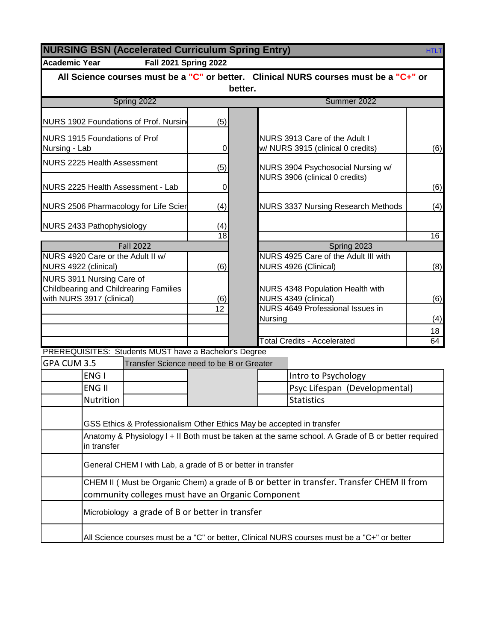<span id="page-10-0"></span>

| <b>NURSING BSN (Accelerated Curriculum Spring Entry)</b><br><b>HTLT</b>                          |                              |         |                                                                                                    |          |  |  |  |
|--------------------------------------------------------------------------------------------------|------------------------------|---------|----------------------------------------------------------------------------------------------------|----------|--|--|--|
| <b>Academic Year</b>                                                                             | <b>Fall 2021 Spring 2022</b> |         |                                                                                                    |          |  |  |  |
|                                                                                                  |                              |         | All Science courses must be a "C" or better. Clinical NURS courses must be a "C+" or               |          |  |  |  |
|                                                                                                  |                              | better. |                                                                                                    |          |  |  |  |
| Spring 2022                                                                                      |                              |         | Summer 2022                                                                                        |          |  |  |  |
| NURS 1902 Foundations of Prof. Nursing                                                           | (5)                          |         |                                                                                                    |          |  |  |  |
| <b>NURS 1915 Foundations of Prof</b><br>Nursing - Lab                                            | $\overline{0}$               |         | NURS 3913 Care of the Adult I<br>w/ NURS 3915 (clinical 0 credits)                                 | (6)      |  |  |  |
| <b>NURS 2225 Health Assessment</b>                                                               | (5)                          |         | NURS 3904 Psychosocial Nursing w/                                                                  |          |  |  |  |
| NURS 2225 Health Assessment - Lab                                                                | $\overline{0}$               |         | NURS 3906 (clinical 0 credits)                                                                     | (6)      |  |  |  |
| NURS 2506 Pharmacology for Life Scier                                                            | (4)                          |         | <b>NURS 3337 Nursing Research Methods</b>                                                          | (4)      |  |  |  |
| NURS 2433 Pathophysiology                                                                        | (4)<br>18                    |         |                                                                                                    | 16       |  |  |  |
| <b>Fall 2022</b>                                                                                 |                              |         | Spring 2023                                                                                        |          |  |  |  |
| NURS 4920 Care or the Adult II w/<br>NURS 4922 (clinical)                                        | (6)                          |         | NURS 4925 Care of the Adult III with<br>NURS 4926 (Clinical)                                       | (8)      |  |  |  |
| NURS 3911 Nursing Care of<br>Childbearing and Childrearing Families<br>with NURS 3917 (clinical) | (6)                          |         | NURS 4348 Population Health with<br>NURS 4349 (clinical)                                           | (6)      |  |  |  |
|                                                                                                  | 12                           |         | <b>NURS 4649 Professional Issues in</b><br><b>Nursing</b>                                          | (4)      |  |  |  |
|                                                                                                  |                              |         | <b>Total Credits - Accelerated</b>                                                                 | 18<br>64 |  |  |  |
| PREREQUISITES: Students MUST have a Bachelor's Degree                                            |                              |         |                                                                                                    |          |  |  |  |
| GPA CUM 3.5<br>Transfer Science need to be B or Greater                                          |                              |         |                                                                                                    |          |  |  |  |
| ENG I                                                                                            |                              |         | Intro to Psychology                                                                                |          |  |  |  |
| <b>ENG II</b>                                                                                    |                              |         | Psyc Lifespan (Developmental)                                                                      |          |  |  |  |
| Nutrition                                                                                        |                              |         | <b>Statistics</b>                                                                                  |          |  |  |  |
| GSS Ethics & Professionalism Other Ethics May be accepted in transfer                            |                              |         | Anatomy & Physiology I + II Both must be taken at the same school. A Grade of B or better required |          |  |  |  |
| in transfer                                                                                      |                              |         |                                                                                                    |          |  |  |  |
| General CHEM I with Lab, a grade of B or better in transfer                                      |                              |         |                                                                                                    |          |  |  |  |
|                                                                                                  |                              |         | CHEM II (Must be Organic Chem) a grade of B or better in transfer. Transfer CHEM II from           |          |  |  |  |
| community colleges must have an Organic Component                                                |                              |         |                                                                                                    |          |  |  |  |
| Microbiology a grade of B or better in transfer                                                  |                              |         |                                                                                                    |          |  |  |  |
|                                                                                                  |                              |         | All Science courses must be a "C" or better, Clinical NURS courses must be a "C+" or better        |          |  |  |  |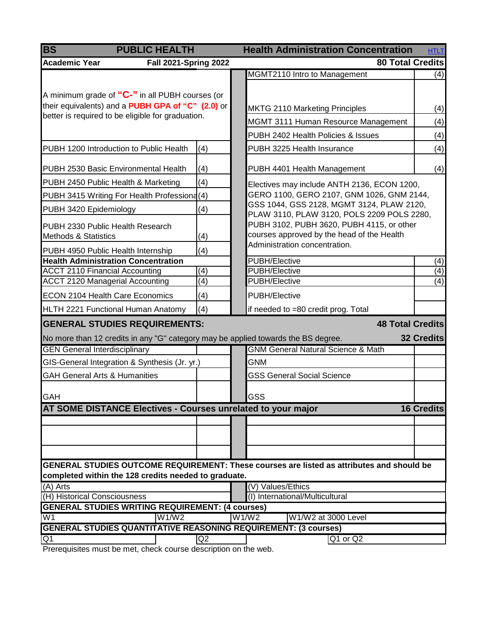<span id="page-11-0"></span>

| <b>BS</b><br><b>PUBLIC HEALTH</b>                                                                    |     | <b>Health Administration Concentration</b><br><b>HTLT</b>                                 |                   |  |  |  |
|------------------------------------------------------------------------------------------------------|-----|-------------------------------------------------------------------------------------------|-------------------|--|--|--|
| <b>Academic Year</b><br><b>Fall 2021-Spring 2022</b>                                                 |     | <b>80 Total Credits</b>                                                                   |                   |  |  |  |
|                                                                                                      |     | MGMT2110 Intro to Management                                                              | (4)               |  |  |  |
|                                                                                                      |     |                                                                                           |                   |  |  |  |
| A minimum grade of "C-" in all PUBH courses (or<br>their equivalents) and a PUBH GPA of "C" (2.0) or |     |                                                                                           |                   |  |  |  |
| better is required to be eligible for graduation.                                                    |     | <b>MKTG 2110 Marketing Principles</b>                                                     | (4)               |  |  |  |
|                                                                                                      |     | MGMT 3111 Human Resource Management                                                       | (4)               |  |  |  |
|                                                                                                      |     | PUBH 2402 Health Policies & Issues                                                        | (4)               |  |  |  |
| PUBH 1200 Introduction to Public Health                                                              | (4) | PUBH 3225 Health Insurance                                                                | (4)               |  |  |  |
| PUBH 2530 Basic Environmental Health                                                                 | (4) | PUBH 4401 Health Management                                                               | (4)               |  |  |  |
| PUBH 2450 Public Health & Marketing                                                                  | (4) | Electives may include ANTH 2136, ECON 1200,                                               |                   |  |  |  |
| PUBH 3415 Writing For Health Professiona(4)                                                          |     | GERO 1100, GERO 2107, GNM 1026, GNM 2144,                                                 |                   |  |  |  |
| PUBH 3420 Epidemiology                                                                               | (4) | GSS 1044, GSS 2128, MGMT 3124, PLAW 2120,<br>PLAW 3110, PLAW 3120, POLS 2209 POLS 2280,   |                   |  |  |  |
| PUBH 2330 Public Health Research<br><b>Methods &amp; Statistics</b>                                  | (4) | PUBH 3102, PUBH 3620, PUBH 4115, or other<br>courses approved by the head of the Health   |                   |  |  |  |
| PUBH 4950 Public Health Internship                                                                   | (4) | Administration concentration.                                                             |                   |  |  |  |
| <b>Health Administration Concentration</b>                                                           |     | <b>PUBH/Elective</b>                                                                      | (4)               |  |  |  |
| <b>ACCT 2110 Financial Accounting</b>                                                                | (4) | PUBH/Elective                                                                             | $\overline{(4)}$  |  |  |  |
| <b>ACCT 2120 Managerial Accounting</b>                                                               | (4) | <b>PUBH/Elective</b>                                                                      | (4)               |  |  |  |
| <b>ECON 2104 Health Care Economics</b>                                                               | (4) | PUBH/Elective                                                                             |                   |  |  |  |
| HLTH 2221 Functional Human Anatomy                                                                   | (4) | if needed to =80 credit prog. Total                                                       |                   |  |  |  |
| <b>GENERAL STUDIES REQUIREMENTS:</b>                                                                 |     | <b>48 Total Credits</b>                                                                   |                   |  |  |  |
| No more than 12 credits in any "G" category may be applied towards the BS degree.                    |     |                                                                                           | <b>32 Credits</b> |  |  |  |
| <b>GEN General Interdisciplinary</b>                                                                 |     | <b>GNM General Natural Science &amp; Math</b>                                             |                   |  |  |  |
| GIS-General Integration & Synthesis (Jr. yr.)                                                        |     | <b>GNM</b>                                                                                |                   |  |  |  |
| <b>GAH General Arts &amp; Humanities</b>                                                             |     | <b>GSS General Social Science</b>                                                         |                   |  |  |  |
| <b>GAH</b>                                                                                           |     | GSS                                                                                       |                   |  |  |  |
| AT SOME DISTANCE Electives - Courses unrelated to your major                                         |     |                                                                                           | <b>16 Credits</b> |  |  |  |
|                                                                                                      |     |                                                                                           |                   |  |  |  |
|                                                                                                      |     |                                                                                           |                   |  |  |  |
|                                                                                                      |     |                                                                                           |                   |  |  |  |
|                                                                                                      |     | GENERAL STUDIES OUTCOME REQUIREMENT: These courses are listed as attributes and should be |                   |  |  |  |
| completed within the 128 credits needed to graduate.                                                 |     |                                                                                           |                   |  |  |  |
| $(\overline{A})$ Arts                                                                                |     | (V) Values/Ethics                                                                         |                   |  |  |  |
| (H) Historical Consciousness                                                                         |     | (I) International/Multicultural                                                           |                   |  |  |  |
| <b>GENERAL STUDIES WRITING REQUIREMENT: (4 courses)</b><br>W <sub>1</sub><br>W1/W2                   |     | W1/W2<br>W1/W2 at 3000 Level                                                              |                   |  |  |  |
| <b>GENERAL STUDIES QUANTITATIVE REASONING REQUIREMENT: (3 courses)</b>                               |     |                                                                                           |                   |  |  |  |
| Q1                                                                                                   | Q2  | Q1 or Q2                                                                                  |                   |  |  |  |
|                                                                                                      |     |                                                                                           |                   |  |  |  |

Prerequisites must be met, check course description on the web.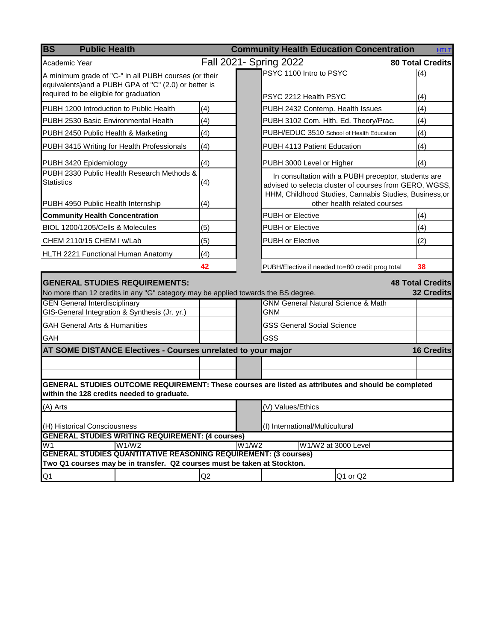<span id="page-12-0"></span>

| <b>BS</b><br><b>Public Health</b>                                                                                                                 |     |       | <b>Community Health Education Concentration</b>                                        | <b>HTLT</b>                                  |
|---------------------------------------------------------------------------------------------------------------------------------------------------|-----|-------|----------------------------------------------------------------------------------------|----------------------------------------------|
| Academic Year                                                                                                                                     |     |       | Fall 2021- Spring 2022                                                                 | <b>80 Total Credits</b>                      |
| A minimum grade of "C-" in all PUBH courses (or their                                                                                             |     |       | PSYC 1100 Intro to PSYC                                                                | (4)                                          |
| equivalents) and a PUBH GPA of "C" (2.0) or better is                                                                                             |     |       |                                                                                        |                                              |
| required to be eligible for graduation                                                                                                            |     |       | PSYC 2212 Health PSYC                                                                  | (4)                                          |
| PUBH 1200 Introduction to Public Health                                                                                                           | (4) |       | PUBH 2432 Contemp. Health Issues                                                       | (4)                                          |
| PUBH 2530 Basic Environmental Health                                                                                                              | (4) |       | PUBH 3102 Com. Hlth. Ed. Theory/Prac.                                                  | (4)                                          |
| PUBH 2450 Public Health & Marketing                                                                                                               | (4) |       | PUBH/EDUC 3510 School of Health Education                                              | (4)                                          |
| PUBH 3415 Writing for Health Professionals                                                                                                        | (4) |       | PUBH 4113 Patient Education                                                            | (4)                                          |
| PUBH 3420 Epidemiology                                                                                                                            | (4) |       | PUBH 3000 Level or Higher                                                              | (4)                                          |
| PUBH 2330 Public Health Research Methods &                                                                                                        |     |       | In consultation with a PUBH preceptor, students are                                    |                                              |
| <b>Statistics</b>                                                                                                                                 | (4) |       | advised to selecta cluster of courses from GERO, WGSS,                                 |                                              |
| PUBH 4950 Public Health Internship                                                                                                                | (4) |       | HHM, Childhood Studies, Cannabis Studies, Business, or<br>other health related courses |                                              |
| <b>Community Health Concentration</b>                                                                                                             |     |       | <b>PUBH or Elective</b>                                                                | (4)                                          |
| BIOL 1200/1205/Cells & Molecules                                                                                                                  | (5) |       | <b>PUBH or Elective</b>                                                                | (4)                                          |
| CHEM 2110/15 CHEM I w/Lab                                                                                                                         | (5) |       | <b>PUBH or Elective</b>                                                                | (2)                                          |
| HLTH 2221 Functional Human Anatomy                                                                                                                | (4) |       |                                                                                        |                                              |
|                                                                                                                                                   | 42  |       | PUBH/Elective if needed to=80 credit prog total                                        | 38                                           |
|                                                                                                                                                   |     |       |                                                                                        |                                              |
| <b>GENERAL STUDIES REQUIREMENTS:</b><br>No more than 12 credits in any "G" category may be applied towards the BS degree.                         |     |       |                                                                                        | <b>48 Total Credits</b><br><b>32 Credits</b> |
| <b>GEN General Interdisciplinary</b>                                                                                                              |     |       | <b>GNM General Natural Science &amp; Math</b>                                          |                                              |
| GIS-General Integration & Synthesis (Jr. yr.)                                                                                                     |     |       | <b>GNM</b>                                                                             |                                              |
| <b>GAH General Arts &amp; Humanities</b>                                                                                                          |     |       | <b>GSS General Social Science</b>                                                      |                                              |
| GAH                                                                                                                                               |     |       | GSS                                                                                    |                                              |
| AT SOME DISTANCE Electives - Courses unrelated to your major                                                                                      |     |       |                                                                                        | <b>16 Credits</b>                            |
|                                                                                                                                                   |     |       |                                                                                        |                                              |
|                                                                                                                                                   |     |       |                                                                                        |                                              |
| GENERAL STUDIES OUTCOME REQUIREMENT: These courses are listed as attributes and should be completed<br>within the 128 credits needed to graduate. |     |       |                                                                                        |                                              |
| (A) Arts                                                                                                                                          |     |       | (V) Values/Ethics                                                                      |                                              |
| (H) Historical Consciousness                                                                                                                      |     |       | (I) International/Multicultural                                                        |                                              |
| <b>GENERAL STUDIES WRITING REQUIREMENT: (4 courses)</b>                                                                                           |     |       |                                                                                        |                                              |
| W <sub>1</sub><br>W1/W2                                                                                                                           |     | W1/W2 | W1/W2 at 3000 Level                                                                    |                                              |
| <b>GENERAL STUDIES QUANTITATIVE REASONING REQUIREMENT: (3 courses)</b>                                                                            |     |       |                                                                                        |                                              |
| Two Q1 courses may be in transfer. Q2 courses must be taken at Stockton.                                                                          |     |       |                                                                                        |                                              |
| Q <sub>1</sub>                                                                                                                                    | Q2  |       | Q1 or Q2                                                                               |                                              |